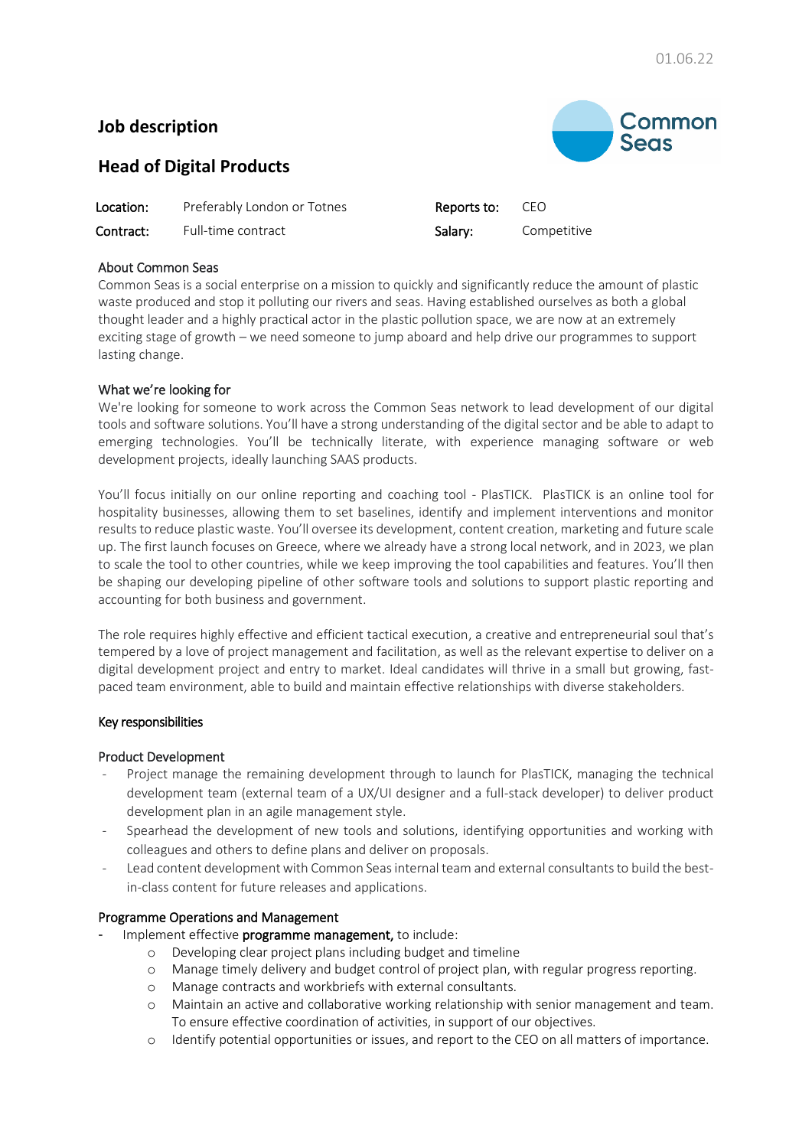# **Job description**

# Common **Seas**

# **Head of Digital Products**

| Location: | Preferably London or Totnes | <b>Reports to:</b> CEO |             |
|-----------|-----------------------------|------------------------|-------------|
| Contract: | Full-time contract          | Salary:                | Competitive |

## About Common Seas

Common Seas is a social enterprise on a mission to quickly and significantly reduce the amount of plastic waste produced and stop it polluting our rivers and seas. Having established ourselves as both a global thought leader and a highly practical actor in the plastic pollution space, we are now at an extremely exciting stage of growth – we need someone to jump aboard and help drive our programmes to support lasting change.

## What we're looking for

We're looking for someone to work across the Common Seas network to lead development of our digital tools and software solutions. You'll have a strong understanding of the digital sector and be able to adapt to emerging technologies. You'll be technically literate, with experience managing software or web development projects, ideally launching SAAS products.

You'll focus initially on our online reporting and coaching tool - PlasTICK. PlasTICK is an online tool for hospitality businesses, allowing them to set baselines, identify and implement interventions and monitor results to reduce plastic waste. You'll oversee its development, content creation, marketing and future scale up. The first launch focuses on Greece, where we already have a strong local network, and in 2023, we plan to scale the tool to other countries, while we keep improving the tool capabilities and features. You'll then be shaping our developing pipeline of other software tools and solutions to support plastic reporting and accounting for both business and government.

The role requires highly effective and efficient tactical execution, a creative and entrepreneurial soul that's tempered by a love of project management and facilitation, as well as the relevant expertise to deliver on a digital development project and entry to market. Ideal candidates will thrive in a small but growing, fastpaced team environment, able to build and maintain effective relationships with diverse stakeholders.

## Key responsibilities

## Product Development

- Project manage the remaining development through to launch for PlasTICK, managing the technical development team (external team of a UX/UI designer and a full-stack developer) to deliver product development plan in an agile management style.
- Spearhead the development of new tools and solutions, identifying opportunities and working with colleagues and others to define plans and deliver on proposals.
- Lead content development with Common Seas internal team and external consultants to build the bestin-class content for future releases and applications.

## Programme Operations and Management

- Implement effective programme management, to include:
	- o Developing clear project plans including budget and timeline
	- o Manage timely delivery and budget control of project plan, with regular progress reporting.
	- o Manage contracts and workbriefs with external consultants.
	- o Maintain an active and collaborative working relationship with senior management and team. To ensure effective coordination of activities, in support of our objectives.
	- o Identify potential opportunities or issues, and report to the CEO on all matters of importance.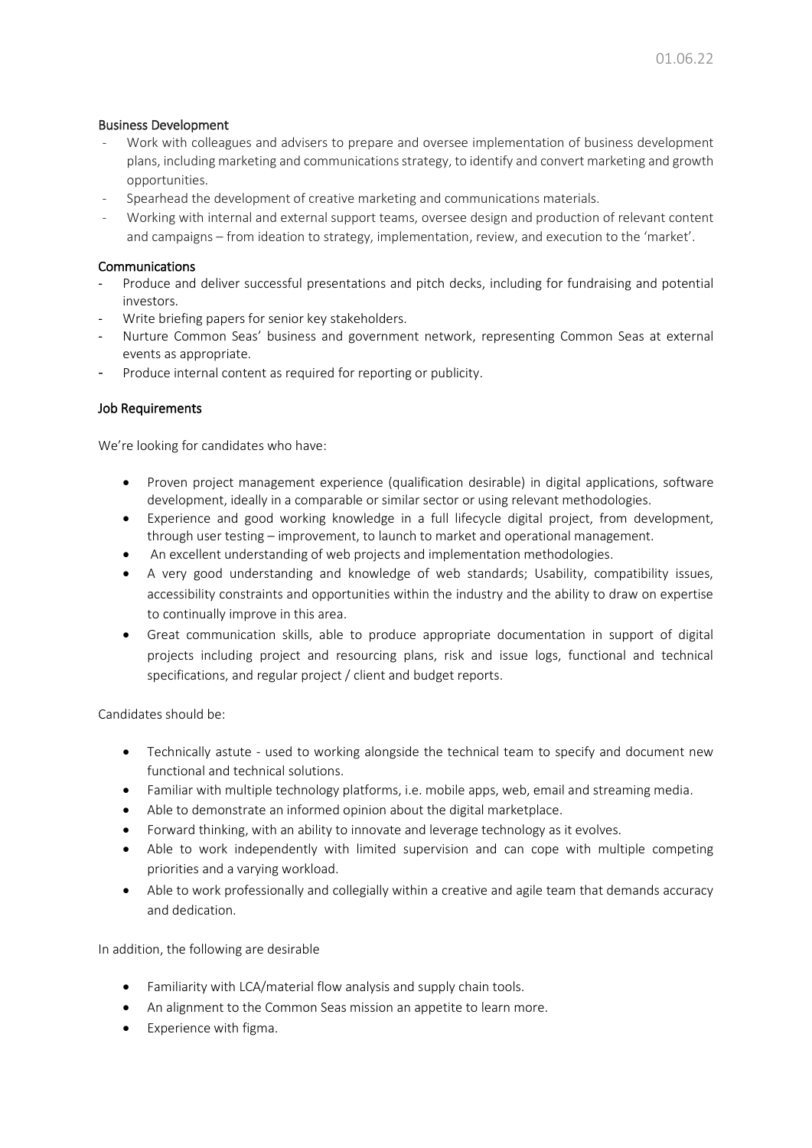#### Business Development

- Work with colleagues and advisers to prepare and oversee implementation of business development plans, including marketing and communications strategy, to identify and convert marketing and growth opportunities.
- Spearhead the development of creative marketing and communications materials.
- Working with internal and external support teams, oversee design and production of relevant content and campaigns – from ideation to strategy, implementation, review, and execution to the 'market'.

#### Communications

- Produce and deliver successful presentations and pitch decks, including for fundraising and potential investors.
- Write briefing papers for senior key stakeholders.
- Nurture Common Seas' business and government network, representing Common Seas at external events as appropriate.
- Produce internal content as required for reporting or publicity.

#### Job Requirements

We're looking for candidates who have:

- Proven project management experience (qualification desirable) in digital applications, software development, ideally in a comparable or similar sector or using relevant methodologies.
- Experience and good working knowledge in a full lifecycle digital project, from development, through user testing – improvement, to launch to market and operational management.
- An excellent understanding of web projects and implementation methodologies.
- A very good understanding and knowledge of web standards; Usability, compatibility issues, accessibility constraints and opportunities within the industry and the ability to draw on expertise to continually improve in this area.
- Great communication skills, able to produce appropriate documentation in support of digital projects including project and resourcing plans, risk and issue logs, functional and technical specifications, and regular project / client and budget reports.

Candidates should be:

- Technically astute used to working alongside the technical team to specify and document new functional and technical solutions.
- Familiar with multiple technology platforms, i.e. mobile apps, web, email and streaming media.
- Able to demonstrate an informed opinion about the digital marketplace.
- Forward thinking, with an ability to innovate and leverage technology as it evolves.
- Able to work independently with limited supervision and can cope with multiple competing priorities and a varying workload.
- Able to work professionally and collegially within a creative and agile team that demands accuracy and dedication.

In addition, the following are desirable

- Familiarity with LCA/material flow analysis and supply chain tools.
- An alignment to the Common Seas mission an appetite to learn more.
- Experience with figma.